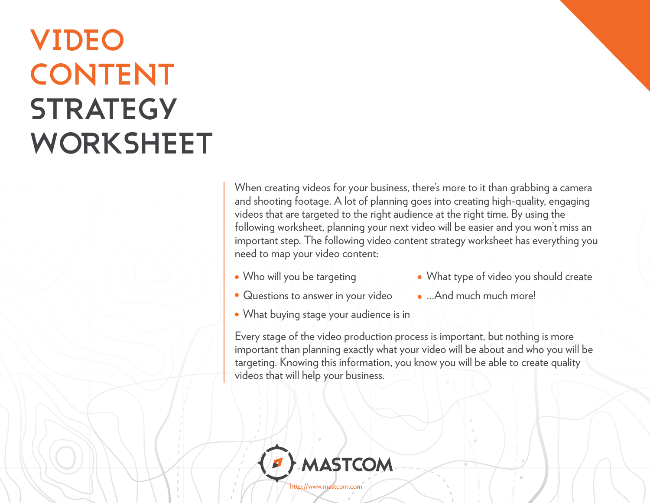## **VIDEO CONTENT STRATEGY WORKSHEET**

When creating videos for your business, there's more to it than grabbing a camera and shooting footage. A lot of planning goes into creating high-quality, engaging videos that are targeted to the right audience at the right time. By using the following worksheet, planning your next video will be easier and you won't miss an important step. The following video content strategy worksheet has everything you need to map your video content:

• Who will you be targeting

- What type of video you should create
- Questions to answer in your video
- ...And much much more!
- What buying stage your audience is in

Every stage of the video production process is important, but nothing is more important than planning exactly what your video will be about and who you will be targeting. Knowing this information, you know you will be able to create quality videos that will help your business.



[http://www.mastcom.com](http://www.mastcom.com/)